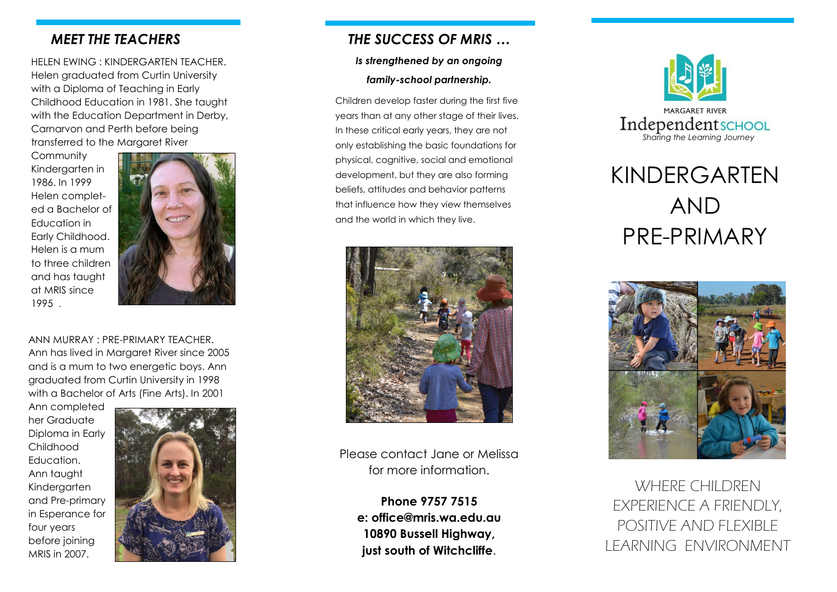## *MEET THE TEACHERS*

HELEN EWING : KINDERGARTEN TEACHER. Helen graduated from Curtin University with a Diploma of Teaching in Early Childhood Education in 1981. She taught with the Education Department in Derby, Carnarvon and Perth before being transferred to the Margaret River

**Community** Kindergarten in 1986. In 1999 Helen completed a Bachelor of Education in Early Childhood. Helen is a mum to three children and has taught at MRIS since 1995 .



ANN MURRAY : PRE -PRIMARY TEACHER. Ann has lived in Margaret River since 2005 and is a mum to two energetic boys. Ann graduated from Curtin University in 1998 with a Bachelor of Arts (Fine Arts). In 2001

Ann completed her Graduate Diploma in Early Childhood **Education** Ann taught Kindergarten and Pre -primary in Esperance for four years before joining MRIS in 2007.



# *THE SUCCESS OF MRIS …*

### *Is strengthened by an ongoing*

## *family -school partnership.*

Children develop faster during the first five years than at any other stage of their lives. In these critical early years, they are not only establishing the basic foundations for physical, cognitive, social and emotional development, but they are also forming beliefs, attitudes and behavior patterns that influence how they view themselves and the world in which they live.



Please contact Jane or Melissa for more information.

> **Phone 9757 7515 e: office@mris.wa.edu.au 10890 Bussell Highway, just south of Witchcliffe** .



# KINDERGARTEN AND PRE -PRIMARY



WHERE CHILDREN EXPERIENCE A FRIENDLY, POSITIVE AND FLEXIBLE LEARNING ENVIRONMENT